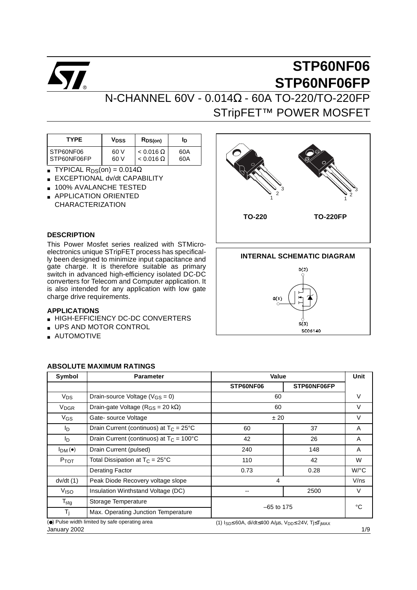

# N-CHANNEL 60V - 0.014Ω - 60A TO-220/TO-220FP STripFET<sup>™</sup> POWER MOSFET

| <b>TYPE</b> | Vpss | $R_{DS(on)}$     | Ιŋ  |
|-------------|------|------------------|-----|
| STP60NF06   | 60 V | $< 0.016 \Omega$ | 60A |
| STP60NF06FP | 60 V | $< 0.016 \Omega$ | 60A |

- **TYPICAL R**<sub>DS</sub>(on) =  $0.014\Omega$
- **EXCEPTIONAL dv/dt CAPABILITY**
- 100% AVALANCHE TESTED
- APPLICATION ORIENTED CHARACTERIZATION

#### **DESCRIPTION**

This Power Mosfet series realized with STMicroelectronics unique STripFET process has specifically been designed to minimize input capacitance and gate charge. It is therefore suitable as primary switch in advanced high-efficiency isolated DC-DC converters for Telecom and Computer application. It is also intended for any application with low gate charge drive requirements.

#### **APPLICATIONS**

- HIGH-EFFICIENCY DC-DC CONVERTERS
- UPS AND MOTOR CONTROL
- AUTOMOTIVE

## **TO-220** 1 2 3 1 2 3 **TO-220FP**



| Symbol                 | <b>Parameter</b>                                  | <b>Value</b>                                                                           |             | Unit                 |
|------------------------|---------------------------------------------------|----------------------------------------------------------------------------------------|-------------|----------------------|
|                        |                                                   | STP60NF06                                                                              | STP60NF06FP |                      |
| V <sub>DS</sub>        | Drain-source Voltage ( $V_{GS} = 0$ )             | 60                                                                                     |             | $\vee$               |
| <b>V<sub>DGR</sub></b> | Drain-gate Voltage ( $R_{GS}$ = 20 k $\Omega$ )   | 60                                                                                     |             | $\vee$               |
| VGS                    | Gate-source Voltage                               | ± 20                                                                                   |             | V                    |
| In.                    | Drain Current (continuos) at $T_c = 25^{\circ}$ C | 60                                                                                     | 37          | A                    |
| In.                    | Drain Current (continuos) at $T_C = 100^{\circ}C$ | 42                                                                                     | 26          | A                    |
| I <sub>DM</sub> (•)    | Drain Current (pulsed)                            | 240                                                                                    | 148         | A                    |
| P <sub>TOT</sub>       | Total Dissipation at $T_C = 25^{\circ}C$          | 110                                                                                    | 42          | W                    |
|                        | <b>Derating Factor</b>                            | 0.73                                                                                   | 0.28        | $W$ <sup>o</sup> $C$ |
| dv/dt(1)               | Peak Diode Recovery voltage slope                 | 4                                                                                      |             | V/ns                 |
| Viso                   | Insulation Winthstand Voltage (DC)                |                                                                                        | 2500        | V                    |
| $T_{\text{stg}}$       | Storage Temperature                               |                                                                                        |             | °C                   |
| Τi                     | Max. Operating Junction Temperature               | $-65$ to 175                                                                           |             |                      |
| January 2002           | (•) Pulse width limited by safe operating area    | (1) $I_{SD} \leq 60A$ , di/dt $\leq 400$ A/us, $V_{DD} \leq 24V$ , T $I \leq T_{IMAX}$ |             | 1/9                  |

#### **ABSOLUTE MAXIMUM RATINGS**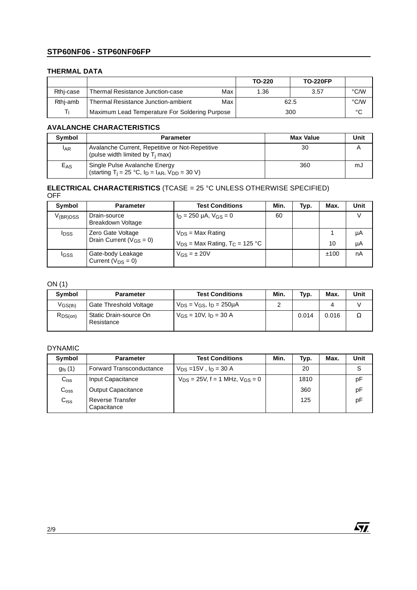#### **THERMAL DATA**

|           |                                                |     | TO-220 | <b>TO-220FP</b> |      |
|-----------|------------------------------------------------|-----|--------|-----------------|------|
| Rthi-case | Thermal Resistance Junction-case               | Max | 1.36   | 3.57            | °C/W |
| Rthi-amb  | Thermal Resistance Junction-ambient            | Max |        | 62.5            | °C/W |
|           | Maximum Lead Temperature For Soldering Purpose |     |        | 300             | °C   |

#### **AVALANCHE CHARACTERISTICS**

| Symbol          | <b>Parameter</b>                                                                                       | <b>Max Value</b> | Unit |
|-----------------|--------------------------------------------------------------------------------------------------------|------------------|------|
| <b>LAR</b>      | Avalanche Current, Repetitive or Not-Repetitive<br>(pulse width limited by $T_i$ max)                  | 30               |      |
| E <sub>AS</sub> | Single Pulse Avalanche Energy<br>(starting T <sub>j</sub> = 25 °C, $I_D$ = $I_{AR}$ , $V_{DD}$ = 30 V) | 360              | mJ   |

#### **ELECTRICAL CHARACTERISTICS** (TCASE = 25 °C UNLESS OTHERWISE SPECIFIED) OFF

| Symbol        | <b>Parameter</b>                                    | <b>Test Conditions</b>                                                  | Min. | Typ. | Max. | Unit     |
|---------------|-----------------------------------------------------|-------------------------------------------------------------------------|------|------|------|----------|
| $V_{(BR)DSS}$ | Drain-source<br>Breakdown Voltage                   | $I_D = 250 \mu A$ , $V_{GS} = 0$                                        | 60   |      |      | v        |
| <b>I</b> DSS  | Zero Gate Voltage<br>Drain Current ( $V_{GS} = 0$ ) | $V_{DS}$ = Max Rating<br>$V_{DS}$ = Max Rating, T <sub>C</sub> = 125 °C |      |      | 10   | μA<br>μA |
| IGSS          | Gate-body Leakage<br>Current $(V_{DS} = 0)$         | $V_{GS} = \pm 20V$                                                      |      |      | ±100 | nA       |

#### ON (1)

| Symbol       | <b>Parameter</b>                     | <b>Test Conditions</b>                | Min. | Typ.  | Max.  | Unit |
|--------------|--------------------------------------|---------------------------------------|------|-------|-------|------|
| $V_{GS(th)}$ | Gate Threshold Voltage               | $V_{DS} = V_{GS}$ , $I_D = 250 \mu A$ |      |       |       |      |
| $R_{DS(on)}$ | Static Drain-source On<br>Resistance | $V_{GS}$ = 10V, $I_D$ = 30 A          |      | 0.014 | 0.016 | Ω    |

#### DYNAMIC

| Symbol             | <b>Parameter</b>                       | <b>Test Conditions</b>                  | Min. | Typ. | Max. | Unit |
|--------------------|----------------------------------------|-----------------------------------------|------|------|------|------|
| $g_{\text{fs}}(1)$ | Forward Transconductance               | $V_{DS} = 15V$ , $I_D = 30 A$           |      | 20   |      | S    |
| $C_{iss}$          | Input Capacitance                      | $V_{DS}$ = 25V, f = 1 MHz, $V_{GS}$ = 0 |      | 1810 |      | pF   |
| $C_{\rm oss}$      | <b>Output Capacitance</b>              |                                         |      | 360  |      | рF   |
| C <sub>rss</sub>   | <b>Reverse Transfer</b><br>Capacitance |                                         |      | 125  |      | рF   |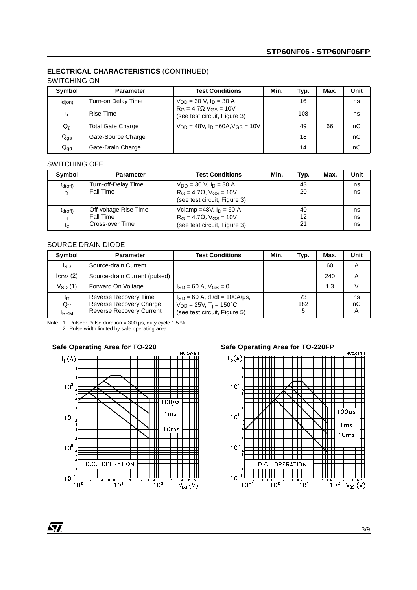### **ELECTRICAL CHARACTERISTICS** (CONTINUED)

#### SWITCHING ON

| Symbol          | <b>Parameter</b>         | <b>Test Conditions</b>                                                   | Min. | Typ. | Max. | Unit |
|-----------------|--------------------------|--------------------------------------------------------------------------|------|------|------|------|
| $t_{d(on)}$     | Turn-on Delay Time       | $V_{DD} = 30$ V, $I_D = 30$ A                                            |      | 16   |      | ns   |
| t,              | Rise Time                | $R_G = 4.7 \Omega$ V <sub>GS</sub> = 10V<br>(see test circuit, Figure 3) |      | 108  |      | ns   |
| $Q_g$           | <b>Total Gate Charge</b> | $V_{DD} = 48V$ , $I_D = 60A$ , $V_{GS} = 10V$                            |      | 49   | 66   | nC   |
| $Q_{\text{gs}}$ | Gate-Source Charge       |                                                                          |      | 18   |      | nC   |
| $Q_{gd}$        | Gate-Drain Charge        |                                                                          |      | 14   |      | nC   |

#### SWITCHING OFF

| Symbol                      | <b>Parameter</b>                                             | <b>Test Conditions</b>                                                                               | Min. | Typ.           | Max. | Unit           |
|-----------------------------|--------------------------------------------------------------|------------------------------------------------------------------------------------------------------|------|----------------|------|----------------|
| $t_{d(off)}$<br>tf          | Turn-off-Delay Time<br><b>Fall Time</b>                      | $V_{DD}$ = 30 V, $I_D$ = 30 A,<br>$R_G = 4.7\Omega$ , $V_{GS} = 10V$<br>(see test circuit, Figure 3) |      | 43<br>20       |      | ns<br>ns       |
| $t_{d(off)}$<br>tŧ<br>$t_c$ | Off-voltage Rise Time<br><b>Fall Time</b><br>Cross-over Time | Vclamp = 48V, $I_D$ = 60 A<br>$R_G = 4.7\Omega$ , $V_{GS} = 10V$<br>(see test circuit, Figure 3)     |      | 40<br>12<br>21 |      | ns<br>ns<br>ns |

#### SOURCE DRAIN DIODE

| Symbol                              | <b>Parameter</b>                                                                    | <b>Test Conditions</b>                                                                                       | Min. | Typ.           | Max. | <b>Unit</b>   |
|-------------------------------------|-------------------------------------------------------------------------------------|--------------------------------------------------------------------------------------------------------------|------|----------------|------|---------------|
| Isp                                 | Source-drain Current                                                                |                                                                                                              |      |                | 60   | A             |
| $I_{SDM}$ (2)                       | Source-drain Current (pulsed)                                                       |                                                                                                              |      |                | 240  | A             |
| $V_{SD}$ (1)                        | Forward On Voltage                                                                  | $I_{SD} = 60$ A, $V_{GS} = 0$                                                                                |      |                | 1.3  |               |
| $t_{rr}$<br>$Q_{rr}$<br><b>IRRM</b> | Reverse Recovery Time<br>Reverse Recovery Charge<br><b>Reverse Recovery Current</b> | $I_{SD} = 60$ A, di/dt = 100A/us,<br>$V_{DD} = 25V$ , T <sub>i</sub> = 150°C<br>(see test circuit, Figure 5) |      | 73<br>182<br>5 |      | ns<br>nC<br>A |

Note: 1. Pulsed: Pulse duration = 300 µs, duty cycle 1.5 %. 2. Pulse width limited by safe operating area.



Safe Operating Area for TO-220 **Safe Operating Area for TO-220FP** 

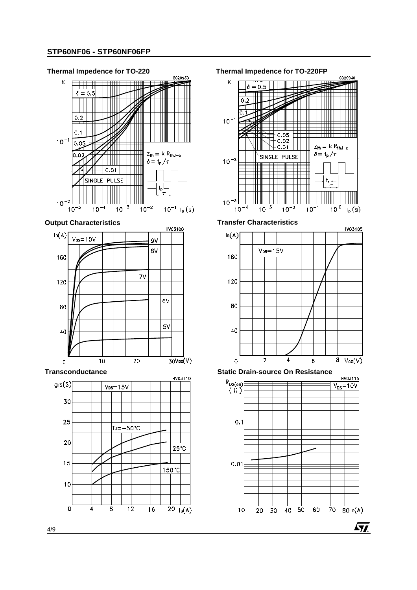





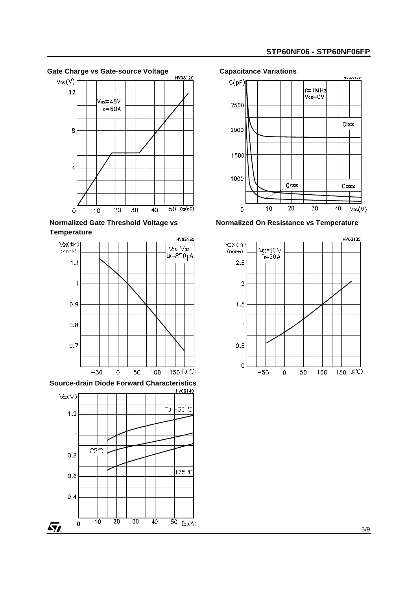

**Normalized Gate Threshold Voltage vs Temperature**



**Source-drain Diode Forward Characteristics**





**Normalized On Resistance vs Temperature**

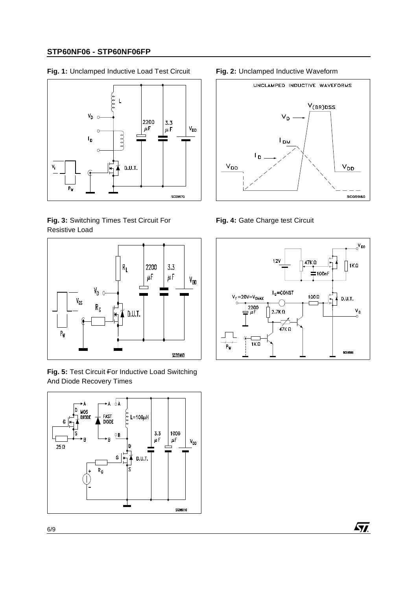**Fig. 1:** Unclamped Inductive Load Test Circuit **Fig. 2:** Unclamped Inductive Waveform



**Fig. 3:** Switching Times Test Circuit For Resistive Load



**Fig. 5:** Test Circuit For Inductive Load Switching And Diode Recovery Times





**Fig. 4:** Gate Charge test Circuit

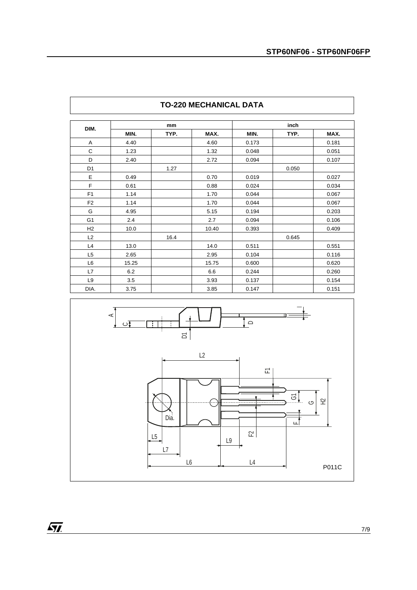| DIM.           |       | mm   |       |       | inch  |       |
|----------------|-------|------|-------|-------|-------|-------|
|                | MIN.  | TYP. | MAX.  | MIN.  | TYP.  | MAX.  |
| Α              | 4.40  |      | 4.60  | 0.173 |       | 0.181 |
| $\mathsf{C}$   | 1.23  |      | 1.32  | 0.048 |       | 0.051 |
| D              | 2.40  |      | 2.72  | 0.094 |       | 0.107 |
| D <sub>1</sub> |       | 1.27 |       |       | 0.050 |       |
| E              | 0.49  |      | 0.70  | 0.019 |       | 0.027 |
| F              | 0.61  |      | 0.88  | 0.024 |       | 0.034 |
| F1             | 1.14  |      | 1.70  | 0.044 |       | 0.067 |
| F <sub>2</sub> | 1.14  |      | 1.70  | 0.044 |       | 0.067 |
| G              | 4.95  |      | 5.15  | 0.194 |       | 0.203 |
| G <sub>1</sub> | 2.4   |      | 2.7   | 0.094 |       | 0.106 |
| H2             | 10.0  |      | 10.40 | 0.393 |       | 0.409 |
| L2             |       | 16.4 |       |       | 0.645 |       |
| L4             | 13.0  |      | 14.0  | 0.511 |       | 0.551 |
| L <sub>5</sub> | 2.65  |      | 2.95  | 0.104 |       | 0.116 |
| L <sub>6</sub> | 15.25 |      | 15.75 | 0.600 |       | 0.620 |
| L7             | 6.2   |      | 6.6   | 0.244 |       | 0.260 |
| L <sub>9</sub> | 3.5   |      | 3.93  | 0.137 |       | 0.154 |
| DIA.           | 3.75  |      | 3.85  | 0.147 |       | 0.151 |

### **TO-220 MECHANICAL DATA**

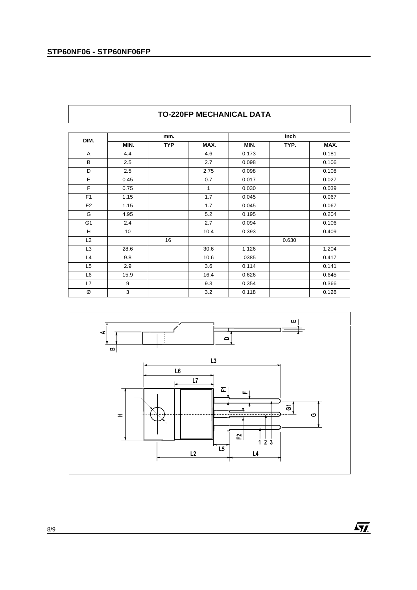|                |      | mm.        |      |       | inch  |       |
|----------------|------|------------|------|-------|-------|-------|
| DIM.           | MIN. | <b>TYP</b> | MAX. | MIN.  | TYP.  | MAX.  |
| Α              | 4.4  |            | 4.6  | 0.173 |       | 0.181 |
| B              | 2.5  |            | 2.7  | 0.098 |       | 0.106 |
| D              | 2.5  |            | 2.75 | 0.098 |       | 0.108 |
| E              | 0.45 |            | 0.7  | 0.017 |       | 0.027 |
| F              | 0.75 |            | 1    | 0.030 |       | 0.039 |
| F <sub>1</sub> | 1.15 |            | 1.7  | 0.045 |       | 0.067 |
| F <sub>2</sub> | 1.15 |            | 1.7  | 0.045 |       | 0.067 |
| G              | 4.95 |            | 5.2  | 0.195 |       | 0.204 |
| G <sub>1</sub> | 2.4  |            | 2.7  | 0.094 |       | 0.106 |
| Н              | 10   |            | 10.4 | 0.393 |       | 0.409 |
| L2             |      | 16         |      |       | 0.630 |       |
| L <sub>3</sub> | 28.6 |            | 30.6 | 1.126 |       | 1.204 |
| L4             | 9.8  |            | 10.6 | .0385 |       | 0.417 |
| L <sub>5</sub> | 2.9  |            | 3.6  | 0.114 |       | 0.141 |
| L <sub>6</sub> | 15.9 |            | 16.4 | 0.626 |       | 0.645 |
| L7             | 9    |            | 9.3  | 0.354 |       | 0.366 |
| Ø              | 3    |            | 3.2  | 0.118 |       | 0.126 |

### **TO-220FP MECHANICAL DATA**